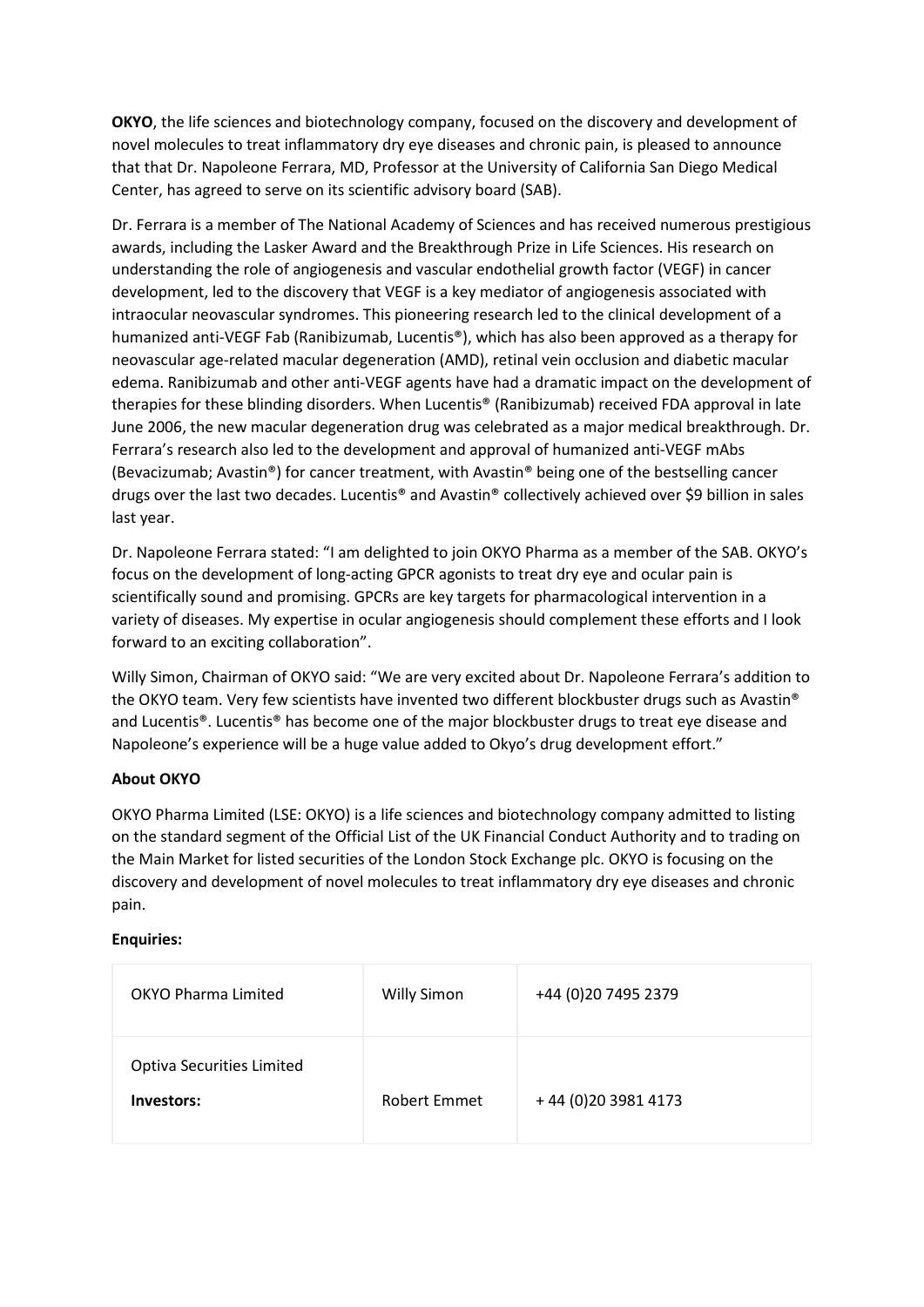**OKYO**, the life sciences and biotechnology company, focused on the discovery and development of novel molecules to treat inflammatory dry eye diseases and chronic pain, is pleased to announce that that Dr. Napoleone Ferrara, MD, Professor at the University of California San Diego Medical Center, has agreed to serve on its scientific advisory board (SAB).

Dr. Ferrara is a member of The National Academy of Sciences and has received numerous prestigious awards, including the Lasker Award and the Breakthrough Prize in Life Sciences. His research on understanding the role of angiogenesis and vascular endothelial growth factor (VEGF) in cancer development, led to the discovery that VEGF is a key mediator of angiogenesis associated with intraocular neovascular syndromes. This pioneering research led to the clinical development of a humanized anti-VEGF Fab (Ranibizumab, Lucentis®), which has also been approved as a therapy for neovascular age-related macular degeneration (AMD), retinal vein occlusion and diabetic macular edema. Ranibizumab and other anti-VEGF agents have had a dramatic impact on the development of therapies for these blinding disorders. When Lucentis® (Ranibizumab) received FDA approval in late June 2006, the new macular degeneration drug was celebrated as a major medical breakthrough. Dr. Ferrara's research also led to the development and approval of humanized anti-VEGF mAbs (Bevacizumab; Avastin®) for cancer treatment, with Avastin® being one of the bestselling cancer drugs over the last two decades. Lucentis® and Avastin® collectively achieved over \$9 billion in sales last year.

Dr. Napoleone Ferrara stated: "I am delighted to join OKYO Pharma as a member of the SAB. OKYO's focus on the development of long-acting GPCR agonists to treat dry eye and ocular pain is scientifically sound and promising. GPCRs are key targets for pharmacological intervention in a variety of diseases. My expertise in ocular angiogenesis should complement these efforts and I look forward to an exciting collaboration".

Willy Simon, Chairman of OKYO said: "We are very excited about Dr. Napoleone Ferrara's addition to the OKYO team. Very few scientists have invented two different blockbuster drugs such as Avastin® and Lucentis®. Lucentis® has become one of the major blockbuster drugs to treat eye disease and Napoleone's experience will be a huge value added to Okyo's drug development effort."

## **About OKYO**

OKYO Pharma Limited (LSE: OKYO) is a life sciences and biotechnology company admitted to listing on the standard segment of the Official List of the UK Financial Conduct Authority and to trading on the Main Market for listed securities of the London Stock Exchange plc. OKYO is focusing on the discovery and development of novel molecules to treat inflammatory dry eye diseases and chronic pain.

## **Enquiries:**

| <b>OKYO Pharma Limited</b>                     | <b>Willy Simon</b>  | +44 (0) 20 7495 2379 |
|------------------------------------------------|---------------------|----------------------|
| <b>Optiva Securities Limited</b><br>Investors: | <b>Robert Emmet</b> | +44 (0) 20 3981 4173 |